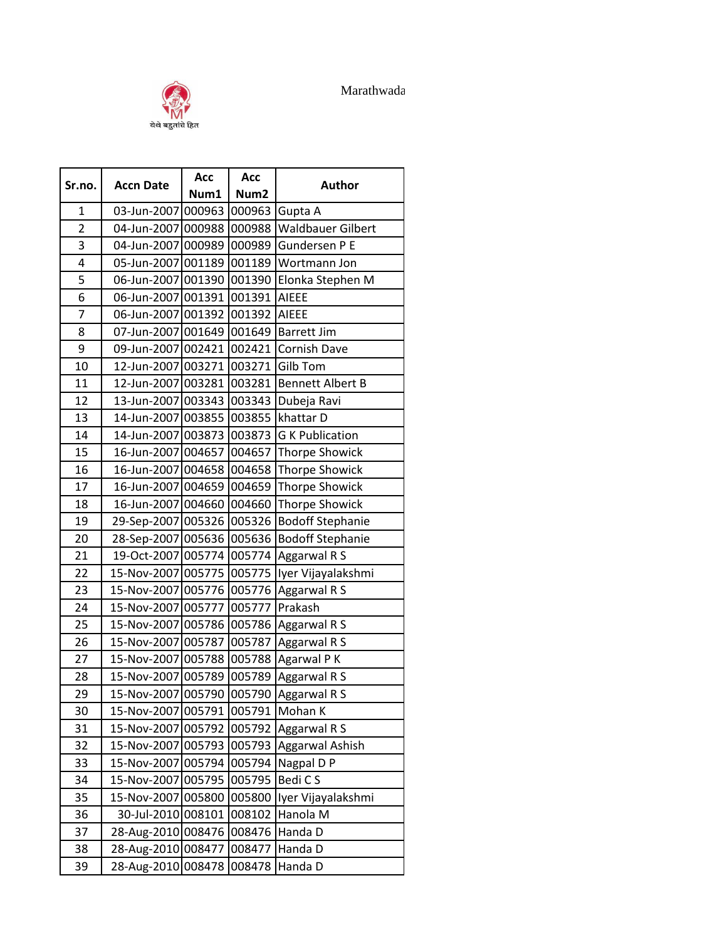



| Sr.no.         |                           | Acc    | Acc              | <b>Author</b>            |
|----------------|---------------------------|--------|------------------|--------------------------|
|                | <b>Accn Date</b>          | Num1   | Num <sub>2</sub> |                          |
| $\mathbf{1}$   | 03-Jun-2007               | 000963 | 000963           | Gupta A                  |
| $\overline{2}$ | 04-Jun-2007 000988        |        | 000988           | <b>Waldbauer Gilbert</b> |
| 3              | 04-Jun-2007               | 000989 | 000989           | <b>Gundersen P E</b>     |
| 4              | 05-Jun-2007 001189        |        | 001189           | Wortmann Jon             |
| 5              | 06-Jun-2007 001390        |        | 001390           | Elonka Stephen M         |
| 6              | 06-Jun-2007 001391        |        | 001391           | <b>AIEEE</b>             |
| $\overline{7}$ | 06-Jun-2007 001392        |        | 001392           | <b>AIEEE</b>             |
| 8              | 07-Jun-2007 001649        |        | 001649           | <b>Barrett Jim</b>       |
| 9              | 09-Jun-2007 002421        |        | 002421           | <b>Cornish Dave</b>      |
| 10             | 12-Jun-2007 003271        |        | 003271           | <b>Gilb Tom</b>          |
| 11             | 12-Jun-2007 003281        |        | 003281           | <b>Bennett Albert B</b>  |
| 12             | 13-Jun-2007 003343        |        | 003343           | Dubeja Ravi              |
| 13             | 14-Jun-2007 003855        |        | 003855           | khattar D                |
| 14             | 14-Jun-2007 003873        |        | 003873           | <b>G K Publication</b>   |
| 15             | 16-Jun-2007 004657        |        | 004657           | <b>Thorpe Showick</b>    |
| 16             | 16-Jun-2007 004658        |        | 004658           | <b>Thorpe Showick</b>    |
| 17             | 16-Jun-2007 004659        |        | 004659           | <b>Thorpe Showick</b>    |
| 18             | 16-Jun-2007 004660        |        | 004660           | <b>Thorpe Showick</b>    |
| 19             | 29-Sep-2007 005326        |        | 005326           | <b>Bodoff Stephanie</b>  |
| 20             | 28-Sep-2007 005636        |        | 005636           | <b>Bodoff Stephanie</b>  |
| 21             | 19-Oct-2007 005774        |        | 005774           | Aggarwal R S             |
| 22             | 15-Nov-2007 005775        |        | 005775           | Iyer Vijayalakshmi       |
| 23             | 15-Nov-2007 005776        |        | 005776           | Aggarwal R S             |
| 24             | 15-Nov-2007 005777        |        | 005777           | Prakash                  |
| 25             | 15-Nov-2007 005786        |        | 005786           | Aggarwal R S             |
| 26             | 15-Nov-2007 005787        |        | 005787           | Aggarwal R S             |
| 27             | 15-Nov-2007 005788        |        | 005788           | Agarwal P K              |
| 28             | 15-Nov-2007 005789        |        | 005789           | Aggarwal R S             |
| 29             | 15-Nov-2007 005790 005790 |        |                  | Aggarwal R S             |
| 30             | 15-Nov-2007 005791        |        | 005791           | Mohan K                  |
| 31             | 15-Nov-2007 005792        |        | 005792           | Aggarwal R S             |
| 32             | 15-Nov-2007 005793        |        | 005793           | Aggarwal Ashish          |
| 33             | 15-Nov-2007 005794        |        | 005794           | Nagpal D P               |
| 34             | 15-Nov-2007 005795        |        | 005795           | Bedi CS                  |
| 35             | 15-Nov-2007 005800        |        | 005800           | Iyer Vijayalakshmi       |
| 36             | 30-Jul-2010 008101        |        | 008102           | Hanola M                 |
| 37             | 28-Aug-2010 008476        |        | 008476           | Handa D                  |
| 38             | 28-Aug-2010 008477        |        | 008477           | Handa D                  |
| 39             | 28-Aug-2010 008478 008478 |        |                  | Handa D                  |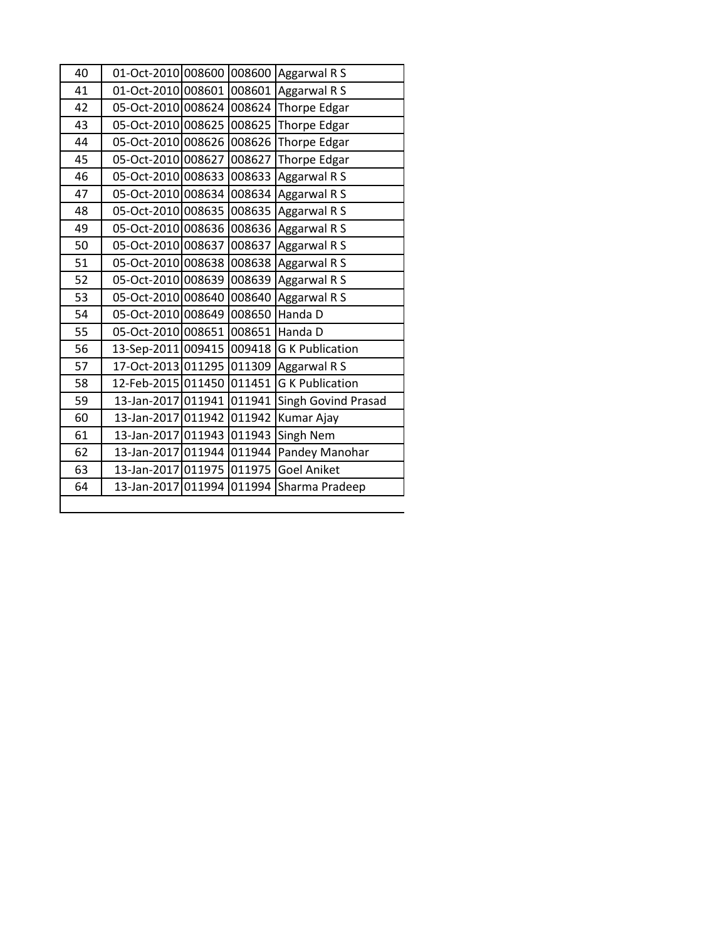| 40 |                                   |        | 01-Oct-2010 008600 008600 Aggarwal R S    |
|----|-----------------------------------|--------|-------------------------------------------|
| 41 |                                   |        | 01-Oct-2010 008601 008601 Aggarwal R S    |
| 42 |                                   |        | 05-Oct-2010 008624 008624 Thorpe Edgar    |
| 43 |                                   |        | 05-Oct-2010 008625 008625 Thorpe Edgar    |
| 44 | 05-Oct-2010 008626 008626         |        | <b>Thorpe Edgar</b>                       |
| 45 | 05-Oct-2010 008627                | 008627 | Thorpe Edgar                              |
| 46 | 05-Oct-2010 008633                | 008633 | Aggarwal R S                              |
| 47 | 05-Oct-2010 008634                | 008634 | Aggarwal R S                              |
| 48 | 05-Oct-2010 008635                |        | 008635 Aggarwal R S                       |
| 49 | 05-Oct-2010 008636                | 008636 | Aggarwal R S                              |
| 50 | 05-Oct-2010 008637                | 008637 | Aggarwal R S                              |
| 51 |                                   |        | 05-Oct-2010 008638 008638 Aggarwal R S    |
| 52 | 05-Oct-2010 008639                | 008639 | Aggarwal R S                              |
| 53 | 05-Oct-2010 008640                |        | 008640 Aggarwal R S                       |
| 54 | 05-Oct-2010 008649                |        | 008650 Handa D                            |
| 55 | 05-Oct-2010 008651 008651 Handa D |        |                                           |
| 56 |                                   |        | 13-Sep-2011 009415 009418 G K Publication |
| 57 |                                   |        | 17-Oct-2013 011295 011309 Aggarwal R S    |
| 58 | 12-Feb-2015 011450                | 011451 | <b>G K Publication</b>                    |
| 59 | 13-Jan-2017 011941                | 011941 | Singh Govind Prasad                       |
| 60 | 13-Jan-2017 011942 011942         |        | Kumar Ajay                                |
| 61 | 13-Jan-2017 011943 011943         |        | Singh Nem                                 |
| 62 | 13-Jan-2017 011944 011944         |        | Pandey Manohar                            |
| 63 | 13-Jan-2017 011975 011975         |        | <b>Goel Aniket</b>                        |
| 64 |                                   |        | 13-Jan-2017 011994 011994 Sharma Pradeep  |
|    |                                   |        |                                           |

I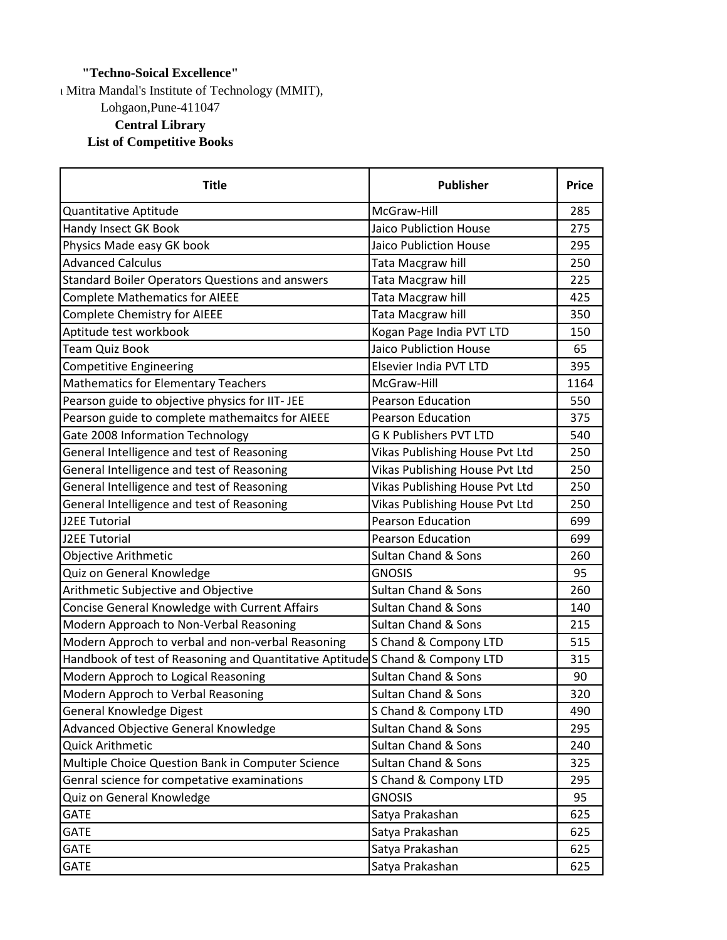## **"Techno-Soical Excellence"**

I Mitra Mandal's Institute of Technology (MMIT), Lohgaon,Pune-411047 **Central Library List of Competitive Books**

| <b>Title</b>                                                                  | <b>Publisher</b>               | <b>Price</b> |
|-------------------------------------------------------------------------------|--------------------------------|--------------|
| Quantitative Aptitude                                                         | McGraw-Hill                    | 285          |
| Handy Insect GK Book                                                          | <b>Jaico Publiction House</b>  | 275          |
| Physics Made easy GK book                                                     | <b>Jaico Publiction House</b>  | 295          |
| <b>Advanced Calculus</b>                                                      | Tata Macgraw hill              | 250          |
| Standard Boiler Operators Questions and answers                               | Tata Macgraw hill              | 225          |
| <b>Complete Mathematics for AIEEE</b>                                         | Tata Macgraw hill              | 425          |
| <b>Complete Chemistry for AIEEE</b>                                           | Tata Macgraw hill              | 350          |
| Aptitude test workbook                                                        | Kogan Page India PVT LTD       | 150          |
| <b>Team Quiz Book</b>                                                         | <b>Jaico Publiction House</b>  | 65           |
| <b>Competitive Engineering</b>                                                | Elsevier India PVT LTD         | 395          |
| <b>Mathematics for Elementary Teachers</b>                                    | McGraw-Hill                    | 1164         |
| Pearson guide to objective physics for IIT- JEE                               | <b>Pearson Education</b>       | 550          |
| Pearson guide to complete mathemaitcs for AIEEE                               | <b>Pearson Education</b>       | 375          |
| Gate 2008 Information Technology                                              | <b>G K Publishers PVT LTD</b>  | 540          |
| General Intelligence and test of Reasoning                                    | Vikas Publishing House Pvt Ltd | 250          |
| General Intelligence and test of Reasoning                                    | Vikas Publishing House Pvt Ltd | 250          |
| General Intelligence and test of Reasoning                                    | Vikas Publishing House Pvt Ltd | 250          |
| General Intelligence and test of Reasoning                                    | Vikas Publishing House Pvt Ltd | 250          |
| J2EE Tutorial                                                                 | <b>Pearson Education</b>       | 699          |
| J2EE Tutorial                                                                 | <b>Pearson Education</b>       | 699          |
| Objective Arithmetic                                                          | <b>Sultan Chand &amp; Sons</b> | 260          |
| Quiz on General Knowledge                                                     | <b>GNOSIS</b>                  | 95           |
| Arithmetic Subjective and Objective                                           | <b>Sultan Chand &amp; Sons</b> | 260          |
| Concise General Knowledge with Current Affairs                                | <b>Sultan Chand &amp; Sons</b> | 140          |
| Modern Approach to Non-Verbal Reasoning                                       | <b>Sultan Chand &amp; Sons</b> | 215          |
| Modern Approch to verbal and non-verbal Reasoning                             | S Chand & Compony LTD          | 515          |
| Handbook of test of Reasoning and Quantitative Aptitude S Chand & Compony LTD |                                | 315          |
| Modern Approch to Logical Reasoning                                           | <b>Sultan Chand &amp; Sons</b> | 90           |
| Modern Approch to Verbal Reasoning                                            | Sultan Chand & Sons            | 320          |
| General Knowledge Digest                                                      | S Chand & Compony LTD          | 490          |
| Advanced Objective General Knowledge                                          | Sultan Chand & Sons            | 295          |
| Quick Arithmetic                                                              | Sultan Chand & Sons            | 240          |
| Multiple Choice Question Bank in Computer Science                             | Sultan Chand & Sons            | 325          |
| Genral science for competative examinations                                   | S Chand & Compony LTD          | 295          |
| Quiz on General Knowledge                                                     | <b>GNOSIS</b>                  | 95           |
| <b>GATE</b>                                                                   | Satya Prakashan                | 625          |
| <b>GATE</b>                                                                   | Satya Prakashan                | 625          |
| <b>GATE</b>                                                                   | Satya Prakashan                | 625          |
| <b>GATE</b>                                                                   | Satya Prakashan                | 625          |